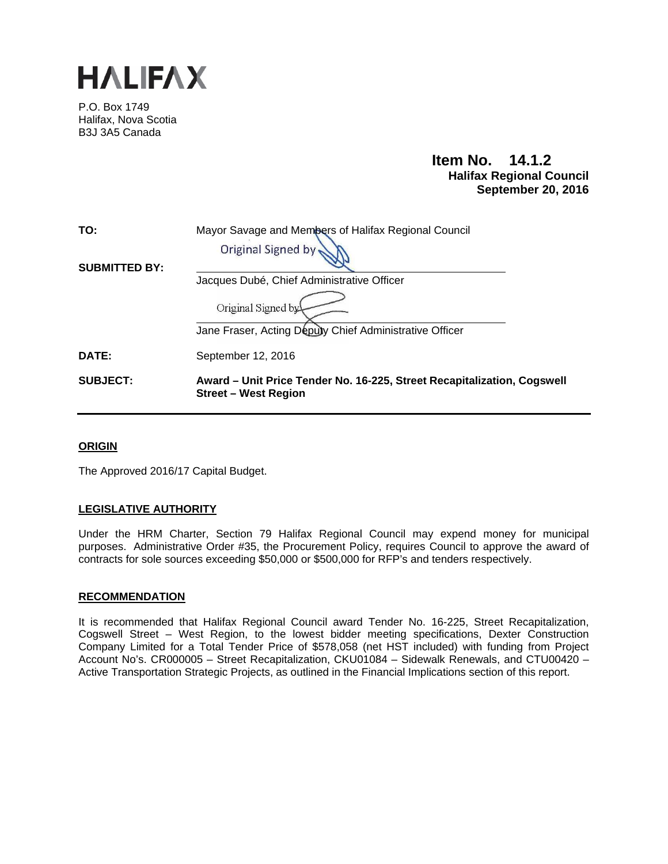

P.O. Box 1749 Halifax, Nova Scotia B3J 3A5 Canada

# **Item No. 14.1.2 Halifax Regional Council September 20, 2016**

| TO:                  | Mayor Savage and Members of Halifax Regional Council                                                   |
|----------------------|--------------------------------------------------------------------------------------------------------|
|                      | Original Signed by                                                                                     |
| <b>SUBMITTED BY:</b> |                                                                                                        |
|                      | Jacques Dubé, Chief Administrative Officer                                                             |
|                      | Original Signed by                                                                                     |
|                      | Jane Fraser, Acting Deputy Chief Administrative Officer                                                |
| DATE:                | September 12, 2016                                                                                     |
| <b>SUBJECT:</b>      | Award – Unit Price Tender No. 16-225, Street Recapitalization, Cogswell<br><b>Street – West Region</b> |

## **ORIGIN**

The Approved 2016/17 Capital Budget.

# **LEGISLATIVE AUTHORITY**

Under the HRM Charter, Section 79 Halifax Regional Council may expend money for municipal purposes. Administrative Order #35, the Procurement Policy, requires Council to approve the award of contracts for sole sources exceeding \$50,000 or \$500,000 for RFP's and tenders respectively.

## **RECOMMENDATION**

It is recommended that Halifax Regional Council award Tender No. 16-225, Street Recapitalization, Cogswell Street – West Region, to the lowest bidder meeting specifications, Dexter Construction Company Limited for a Total Tender Price of \$578,058 (net HST included) with funding from Project Account No's. CR000005 – Street Recapitalization, CKU01084 – Sidewalk Renewals, and CTU00420 – Active Transportation Strategic Projects, as outlined in the Financial Implications section of this report.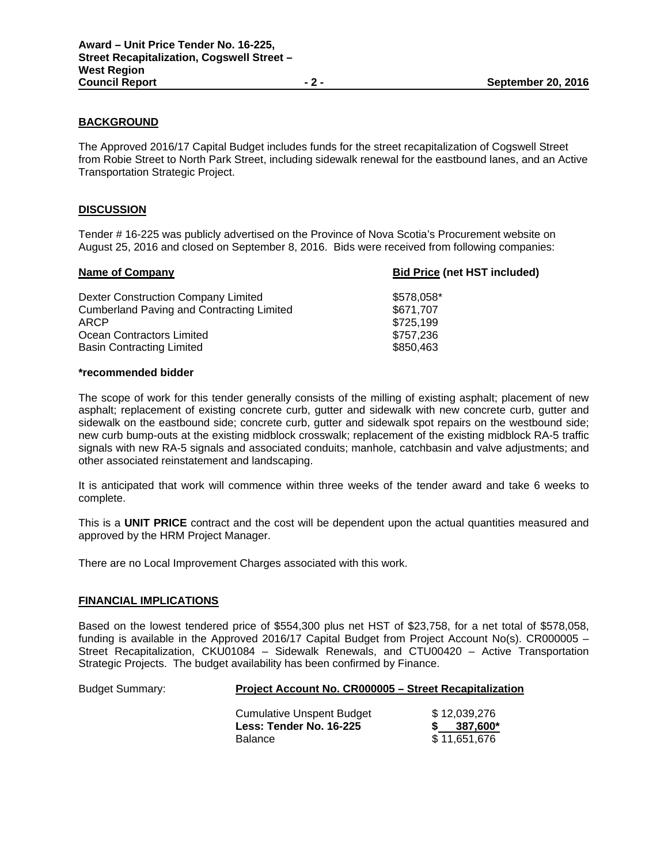### **BACKGROUND**

The Approved 2016/17 Capital Budget includes funds for the street recapitalization of Cogswell Street from Robie Street to North Park Street, including sidewalk renewal for the eastbound lanes, and an Active Transportation Strategic Project.

#### **DISCUSSION**

Tender # 16-225 was publicly advertised on the Province of Nova Scotia's Procurement website on August 25, 2016 and closed on September 8, 2016. Bids were received from following companies:

|                                                               | <b>Bid Price (net HST included)</b> |  |
|---------------------------------------------------------------|-------------------------------------|--|
| \$578,058*<br>Dexter Construction Company Limited             |                                     |  |
| <b>Cumberland Paving and Contracting Limited</b><br>\$671.707 |                                     |  |
| \$725,199<br>ARCP                                             |                                     |  |
| Ocean Contractors Limited<br>\$757,236                        |                                     |  |
| <b>Basin Contracting Limited</b><br>\$850.463                 |                                     |  |

#### **\*recommended bidder**

The scope of work for this tender generally consists of the milling of existing asphalt; placement of new asphalt; replacement of existing concrete curb, gutter and sidewalk with new concrete curb, gutter and sidewalk on the eastbound side; concrete curb, gutter and sidewalk spot repairs on the westbound side; new curb bump-outs at the existing midblock crosswalk; replacement of the existing midblock RA-5 traffic signals with new RA-5 signals and associated conduits; manhole, catchbasin and valve adjustments; and other associated reinstatement and landscaping.

It is anticipated that work will commence within three weeks of the tender award and take 6 weeks to complete.

This is a **UNIT PRICE** contract and the cost will be dependent upon the actual quantities measured and approved by the HRM Project Manager.

There are no Local Improvement Charges associated with this work.

## **FINANCIAL IMPLICATIONS**

Based on the lowest tendered price of \$554,300 plus net HST of \$23,758, for a net total of \$578,058, funding is available in the Approved 2016/17 Capital Budget from Project Account No(s). CR000005 – Street Recapitalization, CKU01084 – Sidewalk Renewals, and CTU00420 – Active Transportation Strategic Projects. The budget availability has been confirmed by Finance.

### Budget Summary: **Project Account No. CR000005 – Street Recapitalization**

| Cumulative Unspent Budget | \$12,039,276 |
|---------------------------|--------------|
| Less: Tender No. 16-225   | 387,600*     |
| <b>Balance</b>            | \$11.651.676 |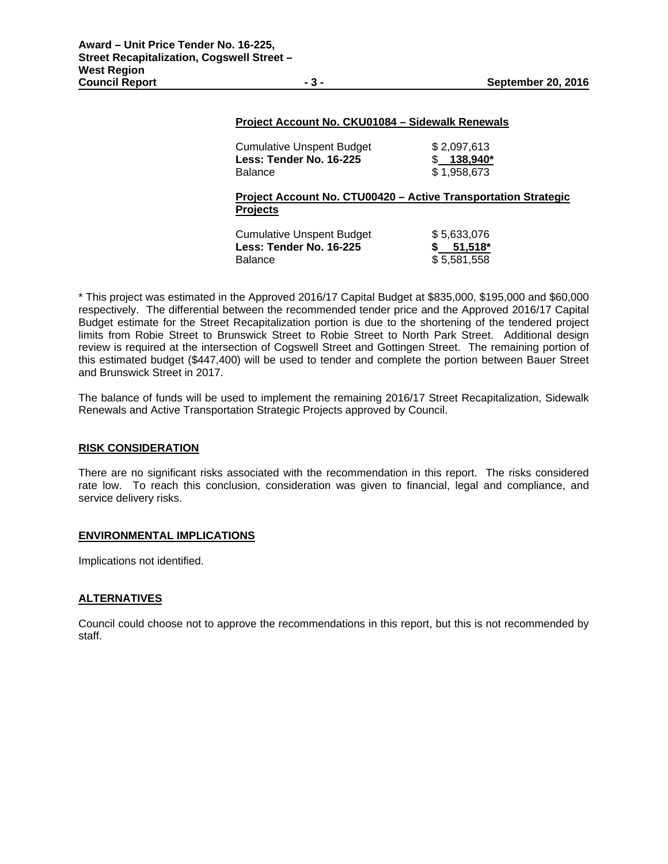#### **Project Account No. CKU01084 – Sidewalk Renewals**

| <b>Balance</b><br>Project Account No. CTU00420 - Active Transportation Strategic | \$1.958.673             |
|----------------------------------------------------------------------------------|-------------------------|
| <b>Cumulative Unspent Budget</b><br>Less: Tender No. 16-225                      | \$2.097.613<br>138.940* |

| Cumulative Unspent Budget | \$5,633,076 |
|---------------------------|-------------|
| Less: Tender No. 16-225   | $$51,518^*$ |
| <b>Balance</b>            | \$5,581,558 |

\* This project was estimated in the Approved 2016/17 Capital Budget at \$835,000, \$195,000 and \$60,000 respectively. The differential between the recommended tender price and the Approved 2016/17 Capital Budget estimate for the Street Recapitalization portion is due to the shortening of the tendered project limits from Robie Street to Brunswick Street to Robie Street to North Park Street. Additional design review is required at the intersection of Cogswell Street and Gottingen Street. The remaining portion of this estimated budget (\$447,400) will be used to tender and complete the portion between Bauer Street and Brunswick Street in 2017.

The balance of funds will be used to implement the remaining 2016/17 Street Recapitalization, Sidewalk Renewals and Active Transportation Strategic Projects approved by Council.

## **RISK CONSIDERATION**

There are no significant risks associated with the recommendation in this report. The risks considered rate low. To reach this conclusion, consideration was given to financial, legal and compliance, and service delivery risks.

#### **ENVIRONMENTAL IMPLICATIONS**

Implications not identified.

#### **ALTERNATIVES**

Council could choose not to approve the recommendations in this report, but this is not recommended by staff.